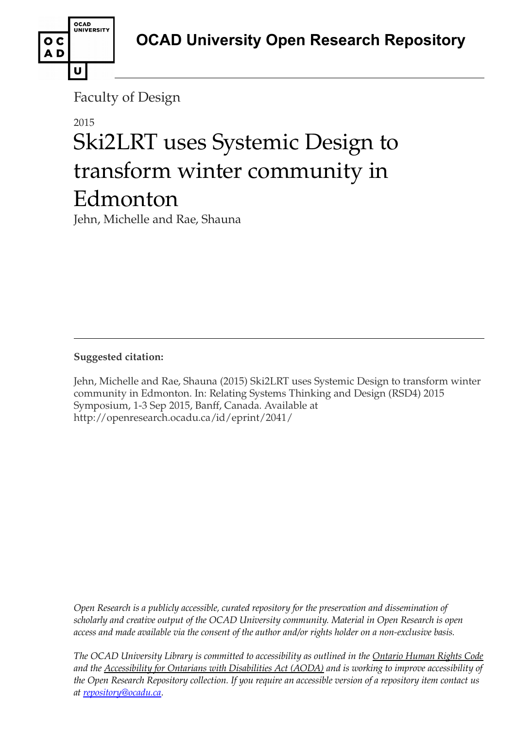

Faculty of Design

# 2015 Ski2LRT uses Systemic Design to transform winter community in Edmonton

Jehn, Michelle and Rae, Shauna

**Suggested citation:** 

Jehn, Michelle and Rae, Shauna (2015) Ski2LRT uses Systemic Design to transform winter community in Edmonton. In: Relating Systems Thinking and Design (RSD4) 2015 Symposium, 1-3 Sep 2015, Banff, Canada. Available at http://openresearch.ocadu.ca/id/eprint/2041/

*Open Research is a publicly accessible, curated repository for the preservation and dissemination of scholarly and creative output of the OCAD University community. Material in Open Research is open access and made available via the consent of the author and/or rights holder on a non-exclusive basis.* 

*The OCAD University Library is committed to accessibility as outlined in the Ontario Human Rights Code and the Accessibility for Ontarians with Disabilities Act (AODA) and is working to improve accessibility of the Open Research Repository collection. If you require an accessible version of a repository item contact us at [repository@ocadu.ca.](mailto:repository@ocadu.ca)*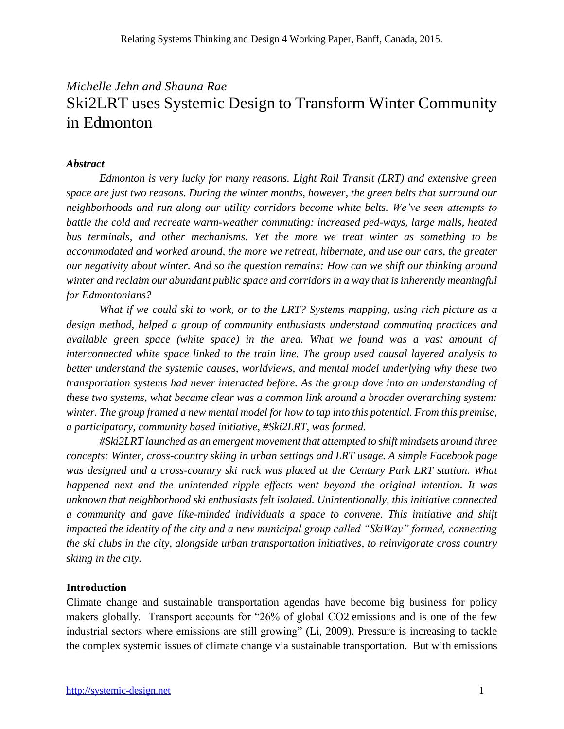# *Michelle Jehn and Shauna Rae* Ski2LRT uses Systemic Design to Transform Winter Community in Edmonton

# *Abstract*

*Edmonton is very lucky for many reasons. Light Rail Transit (LRT) and extensive green space are just two reasons. During the winter months, however, the green belts that surround our neighborhoods and run along our utility corridors become white belts. We've seen attempts to battle the cold and recreate warm-weather commuting: increased ped-ways, large malls, heated bus terminals, and other mechanisms. Yet the more we treat winter as something to be accommodated and worked around, the more we retreat, hibernate, and use our cars, the greater our negativity about winter. And so the question remains: How can we shift our thinking around winter and reclaim our abundant public space and corridors in a way that is inherently meaningful for Edmontonians?* 

*What if we could ski to work, or to the LRT? Systems mapping, using rich picture as a design method, helped a group of community enthusiasts understand commuting practices and available green space (white space) in the area. What we found was a vast amount of interconnected white space linked to the train line. The group used causal layered analysis to better understand the systemic causes, worldviews, and mental model underlying why these two transportation systems had never interacted before. As the group dove into an understanding of these two systems, what became clear was a common link around a broader overarching system: winter. The group framed a new mental model for how to tap into this potential. From this premise, a participatory, community based initiative, #Ski2LRT, was formed.* 

*#Ski2LRT launched as an emergent movement that attempted to shift mindsets around three concepts: Winter, cross-country skiing in urban settings and LRT usage. A simple Facebook page was designed and a cross-country ski rack was placed at the Century Park LRT station. What happened next and the unintended ripple effects went beyond the original intention. It was unknown that neighborhood ski enthusiasts felt isolated. Unintentionally, this initiative connected a community and gave like-minded individuals a space to convene. This initiative and shift impacted the identity of the city and a new municipal group called "SkiWay" formed, connecting the ski clubs in the city, alongside urban transportation initiatives, to reinvigorate cross country skiing in the city.*

# **Introduction**

Climate change and sustainable transportation agendas have become big business for policy makers globally. Transport accounts for "26% of global CO2 emissions and is one of the few industrial sectors where emissions are still growing" (Li, 2009). Pressure is increasing to tackle the complex systemic issues of climate change via sustainable transportation. But with emissions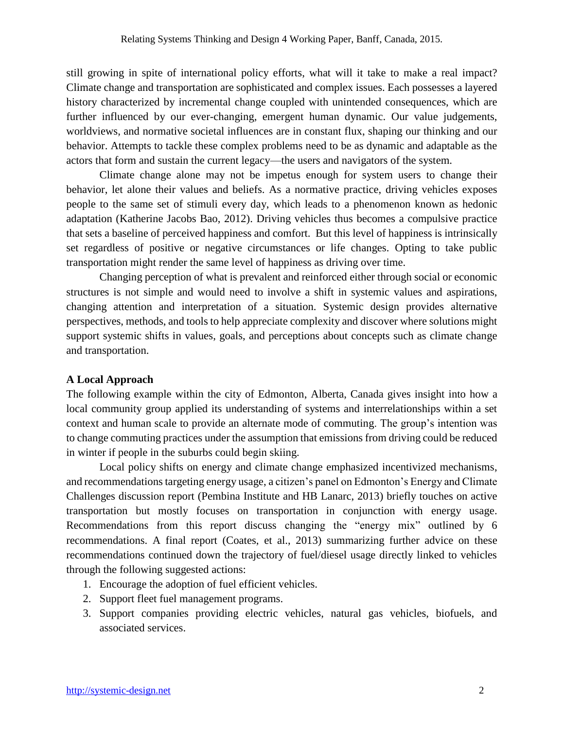still growing in spite of international policy efforts, what will it take to make a real impact? Climate change and transportation are sophisticated and complex issues. Each possesses a layered history characterized by incremental change coupled with unintended consequences, which are further influenced by our ever-changing, emergent human dynamic. Our value judgements, worldviews, and normative societal influences are in constant flux, shaping our thinking and our behavior. Attempts to tackle these complex problems need to be as dynamic and adaptable as the actors that form and sustain the current legacy—the users and navigators of the system.

Climate change alone may not be impetus enough for system users to change their behavior, let alone their values and beliefs. As a normative practice, driving vehicles exposes people to the same set of stimuli every day, which leads to a phenomenon known as hedonic adaptation (Katherine Jacobs Bao, 2012). Driving vehicles thus becomes a compulsive practice that sets a baseline of perceived happiness and comfort. But this level of happiness is intrinsically set regardless of positive or negative circumstances or life changes. Opting to take public transportation might render the same level of happiness as driving over time.

Changing perception of what is prevalent and reinforced either through social or economic structures is not simple and would need to involve a shift in systemic values and aspirations, changing attention and interpretation of a situation. Systemic design provides alternative perspectives, methods, and tools to help appreciate complexity and discover where solutions might support systemic shifts in values, goals, and perceptions about concepts such as climate change and transportation.

## **A Local Approach**

The following example within the city of Edmonton, Alberta, Canada gives insight into how a local community group applied its understanding of systems and interrelationships within a set context and human scale to provide an alternate mode of commuting. The group's intention was to change commuting practices under the assumption that emissions from driving could be reduced in winter if people in the suburbs could begin skiing.

Local policy shifts on energy and climate change emphasized incentivized mechanisms, and recommendations targeting energy usage, a citizen's panel on Edmonton's Energy and Climate Challenges discussion report (Pembina Institute and HB Lanarc, 2013) briefly touches on active transportation but mostly focuses on transportation in conjunction with energy usage. Recommendations from this report discuss changing the "energy mix" outlined by 6 recommendations. A final report (Coates, et al., 2013) summarizing further advice on these recommendations continued down the trajectory of fuel/diesel usage directly linked to vehicles through the following suggested actions:

- 1. Encourage the adoption of fuel efficient vehicles.
- 2. Support fleet fuel management programs.
- 3. Support companies providing electric vehicles, natural gas vehicles, biofuels, and associated services.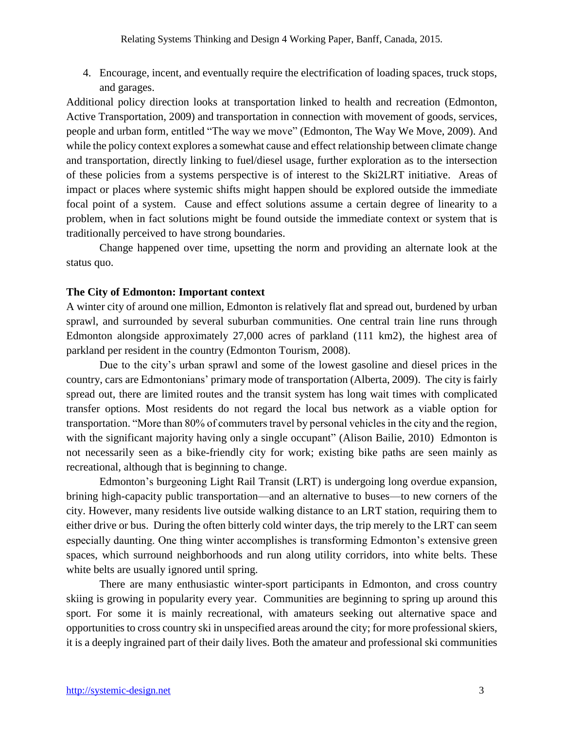4. Encourage, incent, and eventually require the electrification of loading spaces, truck stops, and garages.

Additional policy direction looks at transportation linked to health and recreation (Edmonton, Active Transportation, 2009) and transportation in connection with movement of goods, services, people and urban form, entitled "The way we move" (Edmonton, The Way We Move, 2009). And while the policy context explores a somewhat cause and effect relationship between climate change and transportation, directly linking to fuel/diesel usage, further exploration as to the intersection of these policies from a systems perspective is of interest to the Ski2LRT initiative. Areas of impact or places where systemic shifts might happen should be explored outside the immediate focal point of a system. Cause and effect solutions assume a certain degree of linearity to a problem, when in fact solutions might be found outside the immediate context or system that is traditionally perceived to have strong boundaries.

Change happened over time, upsetting the norm and providing an alternate look at the status quo.

# **The City of Edmonton: Important context**

A winter city of around one million, Edmonton is relatively flat and spread out, burdened by urban sprawl, and surrounded by several suburban communities. One central train line runs through Edmonton alongside approximately 27,000 acres of parkland (111 km2), the highest area of parkland per resident in the country (Edmonton Tourism, 2008).

Due to the city's urban sprawl and some of the lowest gasoline and diesel prices in the country, cars are Edmontonians' primary mode of transportation (Alberta, 2009). The city is fairly spread out, there are limited routes and the transit system has long wait times with complicated transfer options. Most residents do not regard the local bus network as a viable option for transportation. "More than 80% of commuters travel by personal vehicles in the city and the region, with the significant majority having only a single occupant" (Alison Bailie, 2010) Edmonton is not necessarily seen as a bike-friendly city for work; existing bike paths are seen mainly as recreational, although that is beginning to change.

Edmonton's burgeoning Light Rail Transit (LRT) is undergoing long overdue expansion, brining high-capacity public transportation—and an alternative to buses—to new corners of the city. However, many residents live outside walking distance to an LRT station, requiring them to either drive or bus. During the often bitterly cold winter days, the trip merely to the LRT can seem especially daunting. One thing winter accomplishes is transforming Edmonton's extensive green spaces, which surround neighborhoods and run along utility corridors, into white belts. These white belts are usually ignored until spring.

There are many enthusiastic winter-sport participants in Edmonton, and cross country skiing is growing in popularity every year. Communities are beginning to spring up around this sport. For some it is mainly recreational, with amateurs seeking out alternative space and opportunities to cross country ski in unspecified areas around the city; for more professional skiers, it is a deeply ingrained part of their daily lives. Both the amateur and professional ski communities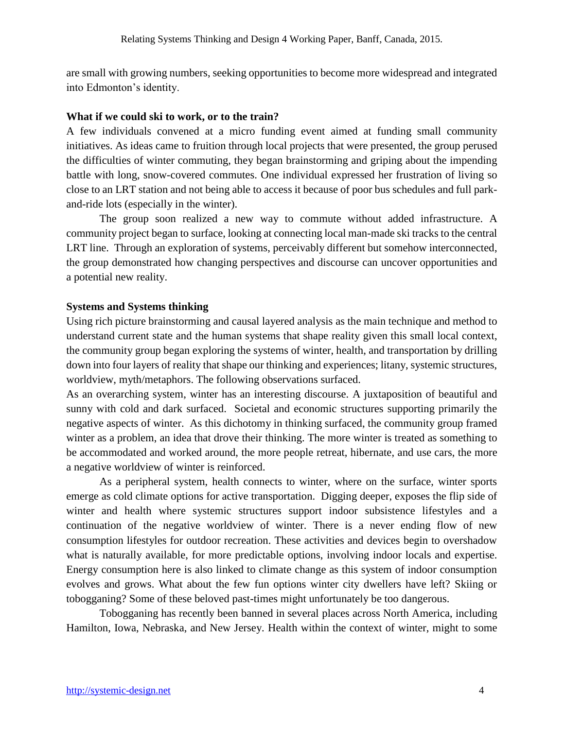are small with growing numbers, seeking opportunities to become more widespread and integrated into Edmonton's identity.

#### **What if we could ski to work, or to the train?**

A few individuals convened at a micro funding event aimed at funding small community initiatives. As ideas came to fruition through local projects that were presented, the group perused the difficulties of winter commuting, they began brainstorming and griping about the impending battle with long, snow-covered commutes. One individual expressed her frustration of living so close to an LRT station and not being able to access it because of poor bus schedules and full parkand-ride lots (especially in the winter).

The group soon realized a new way to commute without added infrastructure. A community project began to surface, looking at connecting local man-made ski tracks to the central LRT line. Through an exploration of systems, perceivably different but somehow interconnected, the group demonstrated how changing perspectives and discourse can uncover opportunities and a potential new reality.

## **Systems and Systems thinking**

Using rich picture brainstorming and causal layered analysis as the main technique and method to understand current state and the human systems that shape reality given this small local context, the community group began exploring the systems of winter, health, and transportation by drilling down into four layers of reality that shape our thinking and experiences; litany, systemic structures, worldview, myth/metaphors. The following observations surfaced.

As an overarching system, winter has an interesting discourse. A juxtaposition of beautiful and sunny with cold and dark surfaced. Societal and economic structures supporting primarily the negative aspects of winter. As this dichotomy in thinking surfaced, the community group framed winter as a problem, an idea that drove their thinking. The more winter is treated as something to be accommodated and worked around, the more people retreat, hibernate, and use cars, the more a negative worldview of winter is reinforced.

As a peripheral system, health connects to winter, where on the surface, winter sports emerge as cold climate options for active transportation. Digging deeper, exposes the flip side of winter and health where systemic structures support indoor subsistence lifestyles and a continuation of the negative worldview of winter. There is a never ending flow of new consumption lifestyles for outdoor recreation. These activities and devices begin to overshadow what is naturally available, for more predictable options, involving indoor locals and expertise. Energy consumption here is also linked to climate change as this system of indoor consumption evolves and grows. What about the few fun options winter city dwellers have left? Skiing or tobogganing? Some of these beloved past-times might unfortunately be too dangerous.

Tobogganing has recently been banned in several places across North America, including Hamilton, Iowa, Nebraska, and New Jersey. Health within the context of winter, might to some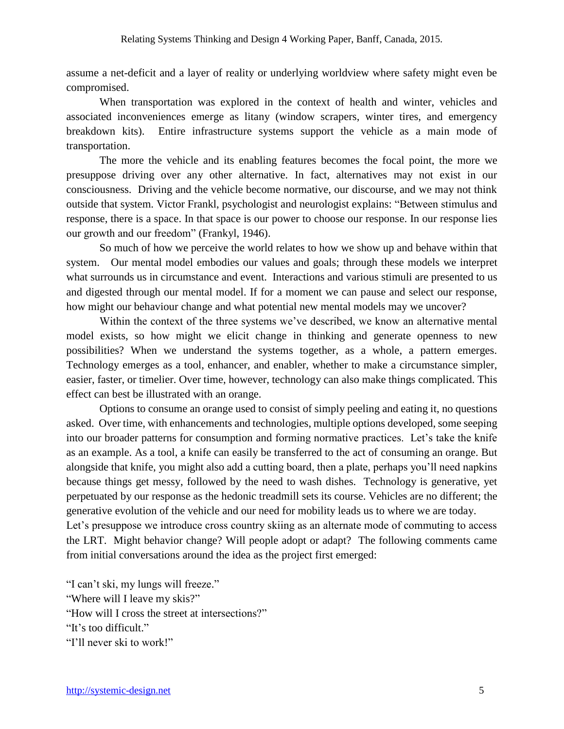assume a net-deficit and a layer of reality or underlying worldview where safety might even be compromised.

When transportation was explored in the context of health and winter, vehicles and associated inconveniences emerge as litany (window scrapers, winter tires, and emergency breakdown kits). Entire infrastructure systems support the vehicle as a main mode of transportation.

The more the vehicle and its enabling features becomes the focal point, the more we presuppose driving over any other alternative. In fact, alternatives may not exist in our consciousness. Driving and the vehicle become normative, our discourse, and we may not think outside that system. Victor Frankl, psychologist and neurologist explains: "Between stimulus and response, there is a space. In that space is our power to choose our response. In our response lies our growth and our freedom" (Frankyl, 1946).

So much of how we perceive the world relates to how we show up and behave within that system. Our mental model embodies our values and goals; through these models we interpret what surrounds us in circumstance and event. Interactions and various stimuli are presented to us and digested through our mental model. If for a moment we can pause and select our response, how might our behaviour change and what potential new mental models may we uncover?

Within the context of the three systems we've described, we know an alternative mental model exists, so how might we elicit change in thinking and generate openness to new possibilities? When we understand the systems together, as a whole, a pattern emerges. Technology emerges as a tool, enhancer, and enabler, whether to make a circumstance simpler, easier, faster, or timelier. Over time, however, technology can also make things complicated. This effect can best be illustrated with an orange.

Options to consume an orange used to consist of simply peeling and eating it, no questions asked. Over time, with enhancements and technologies, multiple options developed, some seeping into our broader patterns for consumption and forming normative practices. Let's take the knife as an example. As a tool, a knife can easily be transferred to the act of consuming an orange. But alongside that knife, you might also add a cutting board, then a plate, perhaps you'll need napkins because things get messy, followed by the need to wash dishes. Technology is generative, yet perpetuated by our response as the hedonic treadmill sets its course. Vehicles are no different; the generative evolution of the vehicle and our need for mobility leads us to where we are today. Let's presuppose we introduce cross country skiing as an alternate mode of commuting to access

the LRT. Might behavior change? Will people adopt or adapt? The following comments came from initial conversations around the idea as the project first emerged:

"I can't ski, my lungs will freeze." "Where will I leave my skis?" "How will I cross the street at intersections?" "It's too difficult." "I'll never ski to work!"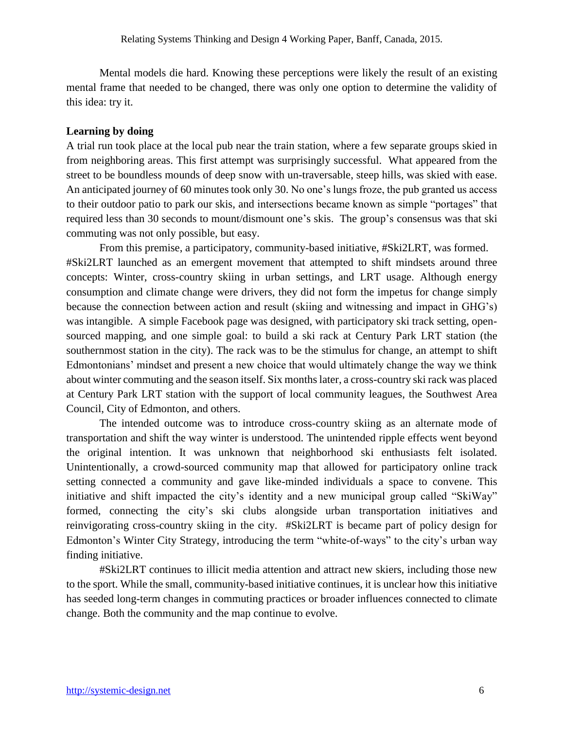Mental models die hard. Knowing these perceptions were likely the result of an existing mental frame that needed to be changed, there was only one option to determine the validity of this idea: try it.

## **Learning by doing**

A trial run took place at the local pub near the train station, where a few separate groups skied in from neighboring areas. This first attempt was surprisingly successful. What appeared from the street to be boundless mounds of deep snow with un-traversable, steep hills, was skied with ease. An anticipated journey of 60 minutes took only 30. No one's lungs froze, the pub granted us access to their outdoor patio to park our skis, and intersections became known as simple "portages" that required less than 30 seconds to mount/dismount one's skis. The group's consensus was that ski commuting was not only possible, but easy.

From this premise, a participatory, community-based initiative, #Ski2LRT, was formed. #Ski2LRT launched as an emergent movement that attempted to shift mindsets around three concepts: Winter, cross-country skiing in urban settings, and LRT usage. Although energy consumption and climate change were drivers, they did not form the impetus for change simply because the connection between action and result (skiing and witnessing and impact in GHG's) was intangible. A simple Facebook page was designed, with participatory ski track setting, opensourced mapping, and one simple goal: to build a ski rack at Century Park LRT station (the southernmost station in the city). The rack was to be the stimulus for change, an attempt to shift Edmontonians' mindset and present a new choice that would ultimately change the way we think about winter commuting and the season itself. Six months later, a cross-country ski rack was placed at Century Park LRT station with the support of local community leagues, the Southwest Area Council, City of Edmonton, and others.

The intended outcome was to introduce cross-country skiing as an alternate mode of transportation and shift the way winter is understood. The unintended ripple effects went beyond the original intention. It was unknown that neighborhood ski enthusiasts felt isolated. Unintentionally, a crowd-sourced community map that allowed for participatory online track setting connected a community and gave like-minded individuals a space to convene. This initiative and shift impacted the city's identity and a new municipal group called "SkiWay" formed, connecting the city's ski clubs alongside urban transportation initiatives and reinvigorating cross-country skiing in the city. #Ski2LRT is became part of policy design for Edmonton's Winter City Strategy, introducing the term "white-of-ways" to the city's urban way finding initiative.

#Ski2LRT continues to illicit media attention and attract new skiers, including those new to the sport. While the small, community-based initiative continues, it is unclear how this initiative has seeded long-term changes in commuting practices or broader influences connected to climate change. Both the community and the map continue to evolve.